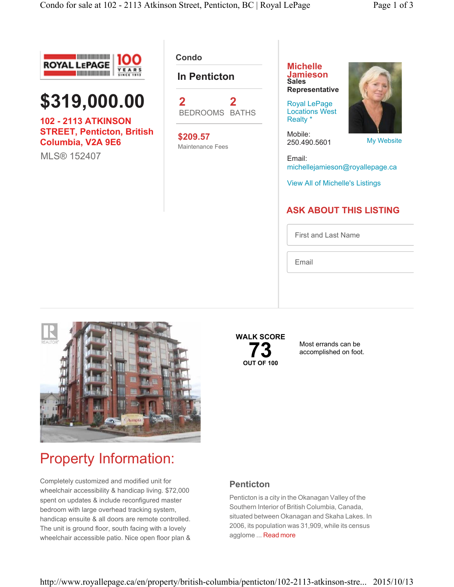



**102 - 2113 ATKINSON STREET, Penticton, British Columbia, V2A 9E6**

MLS® 152407

**Condo** 

#### **In Penticton**



**\$209.57** Maintenance Fees **Michelle Jamieson Sales Representative**

Royal LePage Locations West Realty \*

Mobile: 250.490.5601

My Website

Email: michellejamieson@royallepage.ca

View All of Michelle's Listings

### **ASK ABOUT THIS LISTING**

First and Last Name

Email



## **WALK SCORE 73**<br> **OUT OF 100**

Most errands can be accomplished on foot.

# Property Information:

Completely customized and modified unit for wheelchair accessibility & handicap living. \$72,000 spent on updates & include reconfigured master bedroom with large overhead tracking system, handicap ensuite & all doors are remote controlled. The unit is ground floor, south facing with a lovely wheelchair accessible patio. Nice open floor plan &

#### **Penticton**

Penticton is a city in the Okanagan Valley of the Southern Interior of British Columbia, Canada, situated between Okanagan and Skaha Lakes. In 2006, its population was 31,909, while its census agglome ... Read more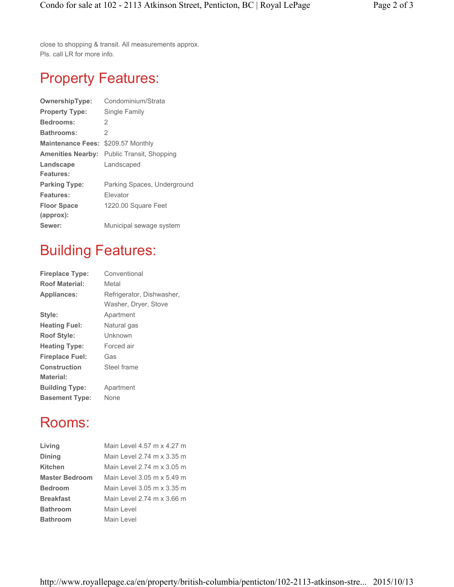close to shopping & transit. All measurements approx. Pls. call LR for more info.

## Property Features:

| <b>OwnershipType:</b>    | Condominium/Strata          |
|--------------------------|-----------------------------|
| <b>Property Type:</b>    | Single Family               |
| <b>Bedrooms:</b>         | 2                           |
| <b>Bathrooms:</b>        | 2                           |
| <b>Maintenance Fees:</b> | \$209.57 Monthly            |
| <b>Amenities Nearby:</b> | Public Transit, Shopping    |
| Landscape                | Landscaped                  |
| <b>Features:</b>         |                             |
| <b>Parking Type:</b>     | Parking Spaces, Underground |
| Features:                | Flevator                    |
| <b>Floor Space</b>       | 1220.00 Square Feet         |
| (approx):                |                             |
| Sewer:                   | Municipal sewage system     |
|                          |                             |

## Building Features:

| <b>Fireplace Type:</b> | Conventional              |
|------------------------|---------------------------|
| <b>Roof Material:</b>  | Metal                     |
| <b>Appliances:</b>     | Refrigerator, Dishwasher, |
|                        | Washer, Dryer, Stove      |
| Style:                 | Apartment                 |
| <b>Heating Fuel:</b>   | Natural gas               |
| <b>Roof Style:</b>     | Unknown                   |
| <b>Heating Type:</b>   | Forced air                |
| <b>Fireplace Fuel:</b> | Gas                       |
| <b>Construction</b>    | Steel frame               |
| <b>Material:</b>       |                           |
| <b>Building Type:</b>  | Apartment                 |
| <b>Basement Type:</b>  | None                      |

### Rooms:

| Living                | Main Level 4.57 m x 4.27 m |
|-----------------------|----------------------------|
| <b>Dining</b>         | Main Level 2.74 m x 3.35 m |
| Kitchen               | Main Level 2.74 m x 3.05 m |
| <b>Master Bedroom</b> | Main Level 3.05 m x 5.49 m |
| <b>Bedroom</b>        | Main Level 3.05 m x 3.35 m |
| <b>Breakfast</b>      | Main Level 2.74 m x 3.66 m |
| <b>Bathroom</b>       | Main Level                 |
| <b>Bathroom</b>       | Main Level                 |